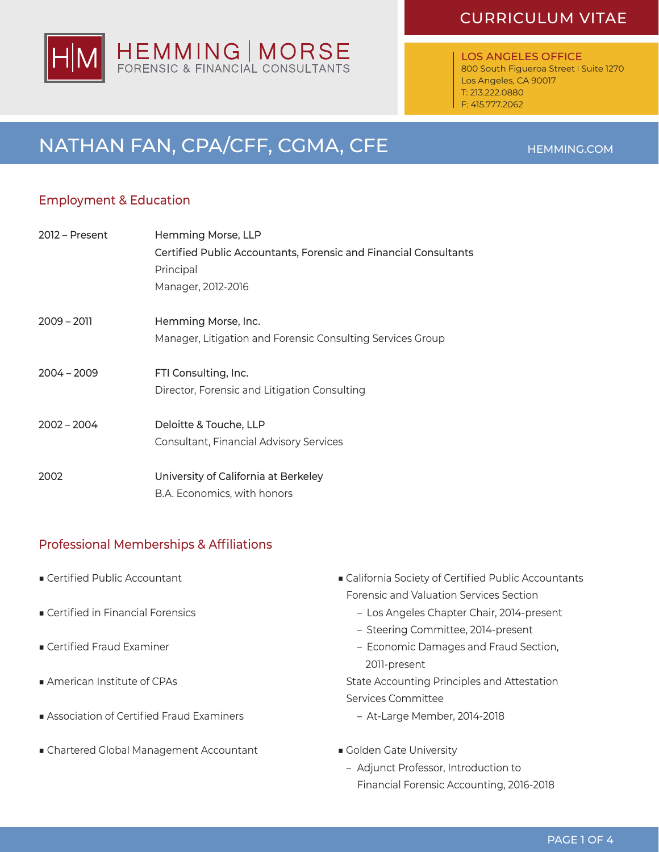# HEMMING | MORSE<br>FORENSIC & FINANCIAL CONSULTANTS

# CURRICULUM VITAE

LOS ANGELES OFFICE 800 South Figueroa Street I Suite 1270 Los Angeles, CA 90017 T: 213.222.0880 F: 415.777.2062

# NATHAN FAN, CPA/CFF, CGMA, CFE HEMMING.COM

# Employment & Education

| 2012 - Present | Hemming Morse, LLP                                               |
|----------------|------------------------------------------------------------------|
|                | Certified Public Accountants, Forensic and Financial Consultants |
|                | Principal                                                        |
|                | Manager, 2012-2016                                               |
| $2009 - 2011$  | Hemming Morse, Inc.                                              |
|                | Manager, Litigation and Forensic Consulting Services Group       |
| $2004 - 2009$  | FTI Consulting, Inc.                                             |
|                | Director, Forensic and Litigation Consulting                     |
| $2002 - 2004$  | Deloitte & Touche, LLP                                           |
|                | Consultant, Financial Advisory Services                          |
| 2002           | University of California at Berkeley                             |
|                | B.A. Economics, with honors                                      |

# Professional Memberships & Affiliations

- Certified Public Accountant
- Certified in Financial Forensics
- Certified Fraud Examiner
- American Institute of CPAs
- Association of Certified Fraud Examiners
- Chartered Global Management Accountant
- California Society of Certified Public Accountants Forensic and Valuation Services Section
	- Los Angeles Chapter Chair, 2014-present
	- Steering Committee, 2014-present
	- Economic Damages and Fraud Section, 2011-present

State Accounting Principles and Attestation Services Committee

- At-Large Member, 2014-2018
- Golden Gate University
	- Adjunct Professor, Introduction to Financial Forensic Accounting, 2016-2018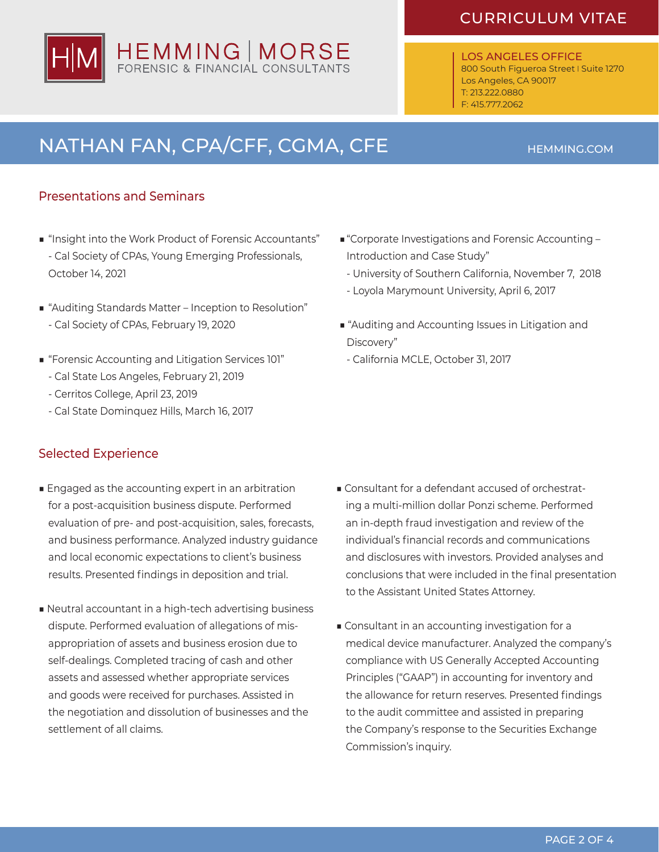# CURRICULUM VITAE

LOS ANGELES OFFICE 800 South Figueroa Street I Suite 1270 Los Angeles, CA 90017 T: 213.222.0880 F: 415.777.2062

# NATHAN FAN, CPA/CFF, CGMA, CFE HEMMING.COM

## Presentations and Seminars

- "Insight into the Work Product of Forensic Accountants" - Cal Society of CPAs, Young Emerging Professionals, October 14, 2021
- "Auditing Standards Matter Inception to Resolution" - Cal Society of CPAs, February 19, 2020
- "Forensic Accounting and Litigation Services 101"
	- Cal State Los Angeles, February 21, 2019
	- Cerritos College, April 23, 2019
	- Cal State Dominquez Hills, March 16, 2017

### Selected Experience

- Engaged as the accounting expert in an arbitration for a post-acquisition business dispute. Performed evaluation of pre- and post-acquisition, sales, forecasts, and business performance. Analyzed industry guidance and local economic expectations to client's business results. Presented findings in deposition and trial.
- Neutral accountant in a high-tech advertising business dispute. Performed evaluation of allegations of misappropriation of assets and business erosion due to self-dealings. Completed tracing of cash and other assets and assessed whether appropriate services and goods were received for purchases. Assisted in the negotiation and dissolution of businesses and the settlement of all claims.
- "Corporate Investigations and Forensic Accounting Introduction and Case Study"
	- University of Southern California, November 7, 2018
	- Loyola Marymount University, April 6, 2017
- "Auditing and Accounting Issues in Litigation and Discovery"
- California MCLE, October 31, 2017

- Consultant for a defendant accused of orchestrating a multi-million dollar Ponzi scheme. Performed an in-depth fraud investigation and review of the individual's financial records and communications and disclosures with investors. Provided analyses and conclusions that were included in the final presentation to the Assistant United States Attorney.
- Consultant in an accounting investigation for a medical device manufacturer. Analyzed the company's compliance with US Generally Accepted Accounting Principles ("GAAP") in accounting for inventory and the allowance for return reserves. Presented findings to the audit committee and assisted in preparing the Company's response to the Securities Exchange Commission's inquiry.

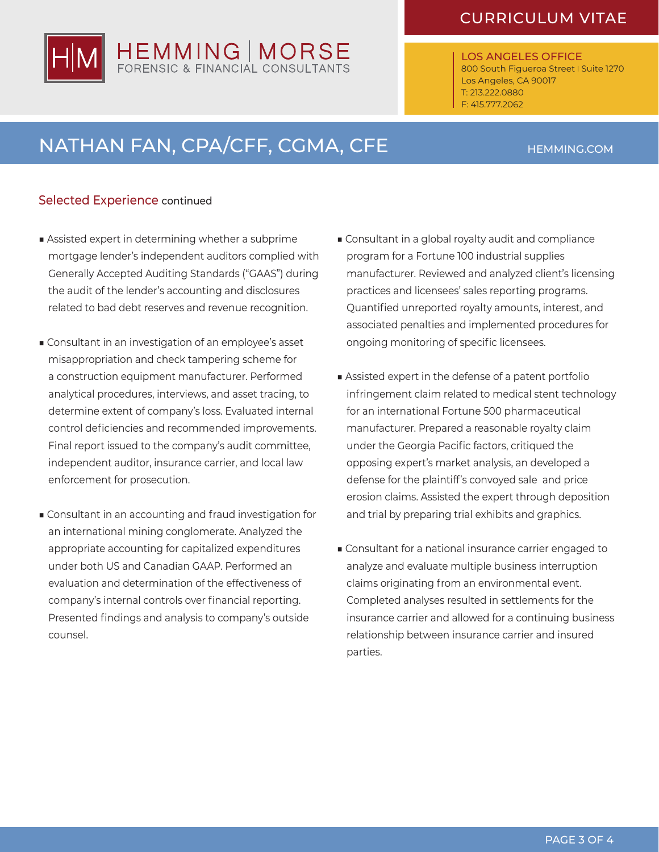# CURRICULUM VITAE

LOS ANGELES OFFICE 800 South Figueroa Street I Suite 1270 Los Angeles, CA 90017 T: 213.222.0880 F: 415.777.2062

# NATHAN FAN, CPA/CFF, CGMA, CFE HEMMING.COM

HEMMING | MORSE

## Selected Experience continued

- Assisted expert in determining whether a subprime mortgage lender's independent auditors complied with Generally Accepted Auditing Standards ("GAAS") during the audit of the lender's accounting and disclosures related to bad debt reserves and revenue recognition.
- Consultant in an investigation of an employee's asset misappropriation and check tampering scheme for a construction equipment manufacturer. Performed analytical procedures, interviews, and asset tracing, to determine extent of company's loss. Evaluated internal control deficiencies and recommended improvements. Final report issued to the company's audit committee, independent auditor, insurance carrier, and local law enforcement for prosecution.
- Consultant in an accounting and fraud investigation for an international mining conglomerate. Analyzed the appropriate accounting for capitalized expenditures under both US and Canadian GAAP. Performed an evaluation and determination of the effectiveness of company's internal controls over financial reporting. Presented findings and analysis to company's outside counsel.
- Consultant in a global royalty audit and compliance program for a Fortune 100 industrial supplies manufacturer. Reviewed and analyzed client's licensing practices and licensees' sales reporting programs. Quantified unreported royalty amounts, interest, and associated penalties and implemented procedures for ongoing monitoring of specific licensees.
- Assisted expert in the defense of a patent portfolio infringement claim related to medical stent technology for an international Fortune 500 pharmaceutical manufacturer. Prepared a reasonable royalty claim under the Georgia Pacific factors, critiqued the opposing expert's market analysis, an developed a defense for the plaintiff's convoyed sale and price erosion claims. Assisted the expert through deposition and trial by preparing trial exhibits and graphics.
- Consultant for a national insurance carrier engaged to analyze and evaluate multiple business interruption claims originating from an environmental event. Completed analyses resulted in settlements for the insurance carrier and allowed for a continuing business relationship between insurance carrier and insured parties.